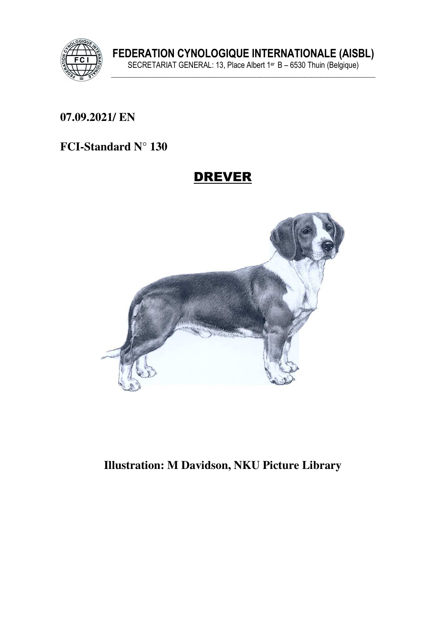

**07.09.2021/ EN** 

### **FCI-Standard N° 130**

# DREVER



### **Illustration: M Davidson, NKU Picture Library**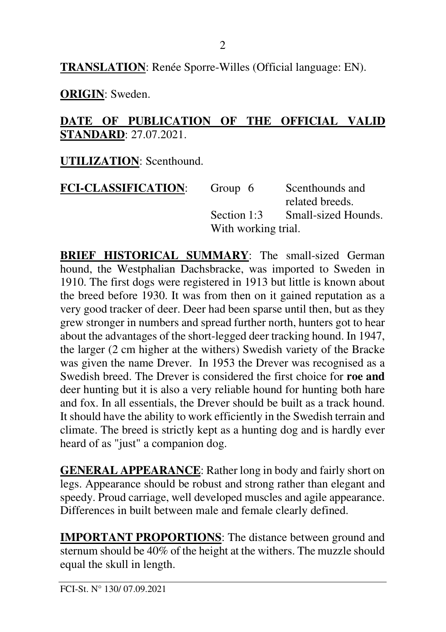**TRANSLATION**: Renée Sporre-Willes (Official language: EN).

**ORIGIN**: Sweden.

### **DATE OF PUBLICATION OF THE OFFICIAL VALID STANDARD**: 27.07.2021.

**UTILIZATION**: Scenthound.

| <b>FCI-CLASSIFICATION:</b> | Group 6             | Scenthounds and     |
|----------------------------|---------------------|---------------------|
|                            |                     | related breeds.     |
|                            | Section 1:3         | Small-sized Hounds. |
|                            | With working trial. |                     |

**BRIEF HISTORICAL SUMMARY:** The small-sized German hound, the Westphalian Dachsbracke, was imported to Sweden in 1910. The first dogs were registered in 1913 but little is known about the breed before 1930. It was from then on it gained reputation as a very good tracker of deer. Deer had been sparse until then, but as they grew stronger in numbers and spread further north, hunters got to hear about the advantages of the short-legged deer tracking hound. In 1947, the larger (2 cm higher at the withers) Swedish variety of the Bracke was given the name Drever. In 1953 the Drever was recognised as a Swedish breed. The Drever is considered the first choice for **roe and** deer hunting but it is also a very reliable hound for hunting both hare and fox. In all essentials, the Drever should be built as a track hound. It should have the ability to work efficiently in the Swedish terrain and climate. The breed is strictly kept as a hunting dog and is hardly ever heard of as "just" a companion dog.

**GENERAL APPEARANCE**: Rather long in body and fairly short on legs. Appearance should be robust and strong rather than elegant and speedy. Proud carriage, well developed muscles and agile appearance. Differences in built between male and female clearly defined.

**IMPORTANT PROPORTIONS:** The distance between ground and sternum should be 40% of the height at the withers. The muzzle should equal the skull in length.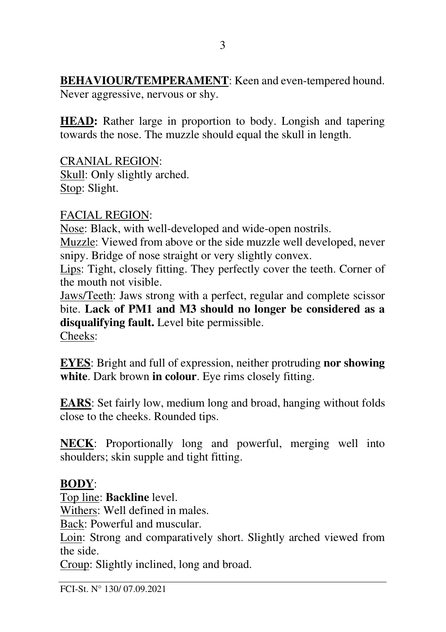**BEHAVIOUR/TEMPERAMENT**: Keen and even-tempered hound. Never aggressive, nervous or shy.

**HEAD:** Rather large in proportion to body. Longish and tapering towards the nose. The muzzle should equal the skull in length.

CRANIAL REGION: Skull: Only slightly arched. Stop: Slight.

### FACIAL REGION:

Nose: Black, with well-developed and wide-open nostrils.

Muzzle: Viewed from above or the side muzzle well developed, never snipy. Bridge of nose straight or very slightly convex.

Lips: Tight, closely fitting. They perfectly cover the teeth. Corner of the mouth not visible.

Jaws/Teeth: Jaws strong with a perfect, regular and complete scissor bite. **Lack of PM1 and M3 should no longer be considered as a disqualifying fault.** Level bite permissible. Cheeks:

**EYES**: Bright and full of expression, neither protruding **nor showing white**. Dark brown **in colour**. Eye rims closely fitting.

**EARS**: Set fairly low, medium long and broad, hanging without folds close to the cheeks. Rounded tips.

**NECK**: Proportionally long and powerful, merging well into shoulders; skin supple and tight fitting.

### **BODY**:

Top line: **Backline** level.

Withers: Well defined in males.

Back: Powerful and muscular.

Loin: Strong and comparatively short. Slightly arched viewed from the side.

Croup: Slightly inclined, long and broad.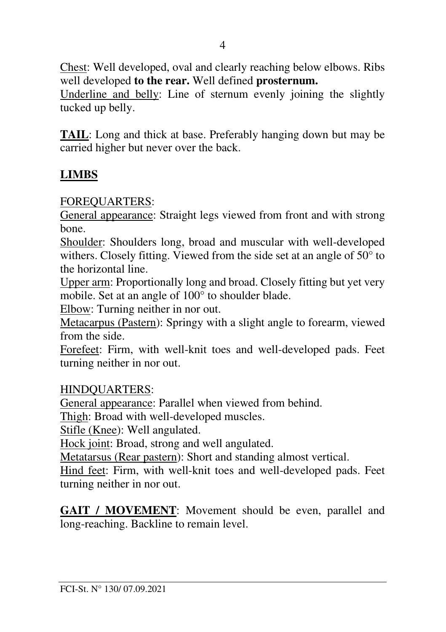Chest: Well developed, oval and clearly reaching below elbows. Ribs well developed **to the rear.** Well defined **prosternum.**

Underline and belly: Line of sternum evenly joining the slightly tucked up belly.

**TAIL**: Long and thick at base. Preferably hanging down but may be carried higher but never over the back.

### **LIMBS**

FOREQUARTERS:

General appearance: Straight legs viewed from front and with strong bone.

Shoulder: Shoulders long, broad and muscular with well-developed withers. Closely fitting. Viewed from the side set at an angle of 50° to the horizontal line.

Upper arm: Proportionally long and broad. Closely fitting but yet very mobile. Set at an angle of 100° to shoulder blade.

Elbow: Turning neither in nor out.

Metacarpus (Pastern): Springy with a slight angle to forearm, viewed from the side.

Forefeet: Firm, with well-knit toes and well-developed pads. Feet turning neither in nor out.

HINDQUARTERS:

General appearance: Parallel when viewed from behind.

Thigh: Broad with well-developed muscles.

Stifle (Knee): Well angulated.

Hock joint: Broad, strong and well angulated.

Metatarsus (Rear pastern): Short and standing almost vertical.

Hind feet: Firm, with well-knit toes and well-developed pads. Feet turning neither in nor out.

**GAIT / MOVEMENT**: Movement should be even, parallel and long-reaching. Backline to remain level.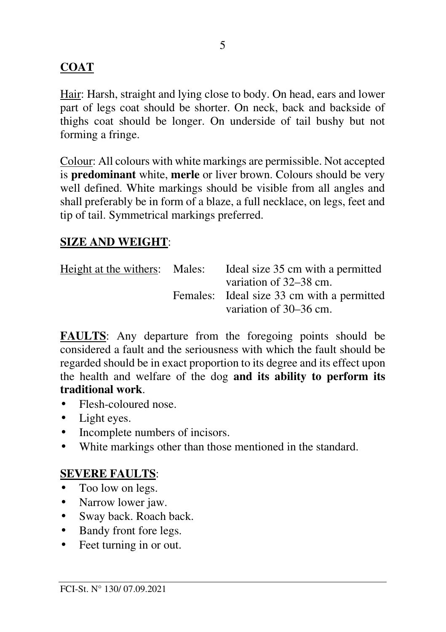### **COAT**

Hair: Harsh, straight and lying close to body. On head, ears and lower part of legs coat should be shorter. On neck, back and backside of thighs coat should be longer. On underside of tail bushy but not forming a fringe.

Colour: All colours with white markings are permissible. Not accepted is **predominant** white, **merle** or liver brown. Colours should be very well defined. White markings should be visible from all angles and shall preferably be in form of a blaze, a full necklace, on legs, feet and tip of tail. Symmetrical markings preferred.

### **SIZE AND WEIGHT**:

| Height at the withers: Males: | Ideal size 35 cm with a permitted          |
|-------------------------------|--------------------------------------------|
|                               | variation of 32–38 cm.                     |
|                               | Females: Ideal size 33 cm with a permitted |
|                               | variation of 30–36 cm.                     |

**FAULTS**: Any departure from the foregoing points should be considered a fault and the seriousness with which the fault should be regarded should be in exact proportion to its degree and its effect upon the health and welfare of the dog **and its ability to perform its traditional work**.

- Flesh-coloured nose.
- Light eyes.
- Incomplete numbers of incisors.
- White markings other than those mentioned in the standard.

### **SEVERE FAULTS**:

- Too low on legs.
- Narrow lower jaw.
- Sway back. Roach back.
- Bandy front fore legs.
- Feet turning in or out.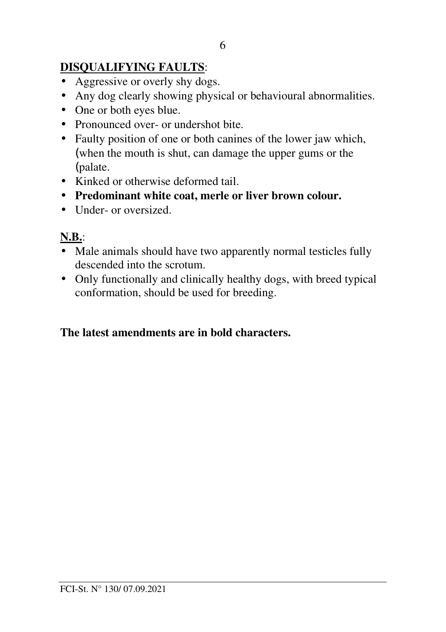## **DISQUALIFYING FAULTS**:

- Aggressive or overly shy dogs.
- Any dog clearly showing physical or behavioural abnormalities.
- One or both eyes blue.
- Pronounced over- or undershot bite.
- Faulty position of one or both canines of the lower jaw which, (when the mouth is shut, can damage the upper gums or the (palate.
- Kinked or otherwise deformed tail.
- **Predominant white coat, merle or liver brown colour.**
- Under- or oversized.

## **N.B.**:

- Male animals should have two apparently normal testicles fully descended into the scrotum.
- Only functionally and clinically healthy dogs, with breed typical conformation, should be used for breeding.

### **The latest amendments are in bold characters.**